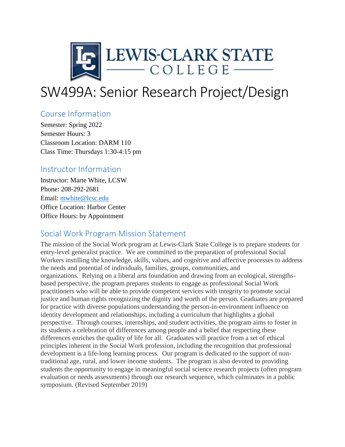

# SW499A: Senior Research Project/Design

# Course Information

Semester: Spring 2022 Semester Hours: 3 Classroom Location: DARM 110 Class Time: Thursdays 1:30-4:15 pm

## Instructor Information

Instructor: Marte White, LCSW Phone: 208-292-2681 Email: [mwhite@lcsc.edu](mailto:mwhite@lcsc.edu) Office Location: Harbor Center Office Hours: by Appointment

# Social Work Program Mission Statement

The mission of the Social Work program at Lewis-Clark State College is to prepare students for entry-level generalist practice. We are committed to the preparation of professional Social Workers instilling the knowledge, skills, values, and cognitive and affective processes to address the needs and potential of individuals, families, groups, communities, and organizations. Relying on a liberal arts foundation and drawing from an ecological, strengthsbased perspective, the program prepares students to engage as professional Social Work practitioners who will be able to provide competent services with integrity to promote social justice and human rights recognizing the dignity and worth of the person. Graduates are prepared for practice with diverse populations understanding the person-in-environment influence on identity development and relationships, including a curriculum that highlights a global perspective. Through courses, internships, and student activities, the program aims to foster in its students a celebration of differences among people and a belief that respecting these differences enriches the quality of life for all. Graduates will practice from a set of ethical principles inherent in the Social Work profession, including the recognition that professional development is a life-long learning process. Our program is dedicated to the support of nontraditional age, rural, and lower income students. The program is also devoted to providing students the opportunity to engage in meaningful social science research projects (often program evaluation or needs assessments) through our research sequence, which culminates in a public symposium. (Revised September 2019)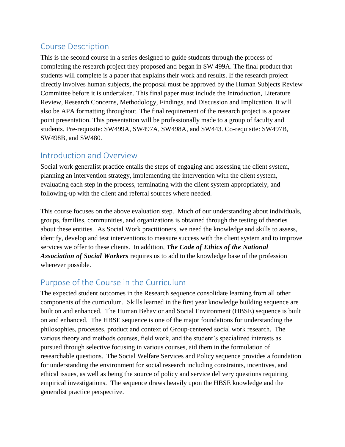# Course Description

This is the second course in a series designed to guide students through the process of completing the research project they proposed and began in SW 499A. The final product that students will complete is a paper that explains their work and results. If the research project directly involves human subjects, the proposal must be approved by the Human Subjects Review Committee before it is undertaken. This final paper must include the Introduction, Literature Review, Research Concerns, Methodology, Findings, and Discussion and Implication. It will also be APA formatting throughout. The final requirement of the research project is a power point presentation. This presentation will be professionally made to a group of faculty and students. Pre-requisite: SW499A, SW497A, SW498A, and SW443. Co-requisite: SW497B, SW498B, and SW480.

# Introduction and Overview

Social work generalist practice entails the steps of engaging and assessing the client system, planning an intervention strategy, implementing the intervention with the client system, evaluating each step in the process, terminating with the client system appropriately, and following-up with the client and referral sources where needed.

This course focuses on the above evaluation step. Much of our understanding about individuals, groups, families, communities, and organizations is obtained through the testing of theories about these entities. As Social Work practitioners, we need the knowledge and skills to assess, identify, develop and test interventions to measure success with the client system and to improve services we offer to these clients. In addition, *The Code of Ethics of the National Association of Social Workers* requires us to add to the knowledge base of the profession wherever possible.

# Purpose of the Course in the Curriculum

The expected student outcomes in the Research sequence consolidate learning from all other components of the curriculum. Skills learned in the first year knowledge building sequence are built on and enhanced. The Human Behavior and Social Environment (HBSE) sequence is built on and enhanced. The HBSE sequence is one of the major foundations for understanding the philosophies, processes, product and context of Group-centered social work research. The various theory and methods courses, field work, and the student's specialized interests as pursued through selective focusing in various courses, aid them in the formulation of researchable questions. The Social Welfare Services and Policy sequence provides a foundation for understanding the environment for social research including constraints, incentives, and ethical issues, as well as being the source of policy and service delivery questions requiring empirical investigations. The sequence draws heavily upon the HBSE knowledge and the generalist practice perspective.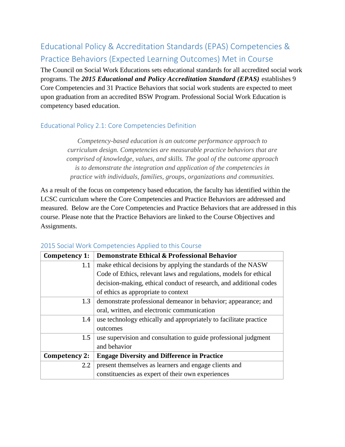# Educational Policy & Accreditation Standards (EPAS) Competencies & Practice Behaviors (Expected Learning Outcomes) Met in Course

The Council on Social Work Educations sets educational standards for all accredited social work programs. The *2015 Educational and Policy Accreditation Standard (EPAS)* establishes 9 Core Competencies and 31 Practice Behaviors that social work students are expected to meet upon graduation from an accredited BSW Program. Professional Social Work Education is competency based education.

### Educational Policy 2.1: Core Competencies Definition

*Competency-based education is an outcome performance approach to curriculum design. Competencies are measurable practice behaviors that are comprised of knowledge, values, and skills. The goal of the outcome approach is to demonstrate the integration and application of the competencies in practice with individuals, families, groups, organizations and communities.*

As a result of the focus on competency based education, the faculty has identified within the LCSC curriculum where the Core Competencies and Practice Behaviors are addressed and measured. Below are the Core Competencies and Practice Behaviors that are addressed in this course. Please note that the Practice Behaviors are linked to the Course Objectives and Assignments.

| Competency 1: | <b>Demonstrate Ethical &amp; Professional Behavior</b>             |  |  |
|---------------|--------------------------------------------------------------------|--|--|
| 1.1           | make ethical decisions by applying the standards of the NASW       |  |  |
|               | Code of Ethics, relevant laws and regulations, models for ethical  |  |  |
|               | decision-making, ethical conduct of research, and additional codes |  |  |
|               | of ethics as appropriate to context                                |  |  |
| 1.3           | demonstrate professional demeanor in behavior; appearance; and     |  |  |
|               | oral, written, and electronic communication                        |  |  |
| 1.4           | use technology ethically and appropriately to facilitate practice  |  |  |
|               | outcomes                                                           |  |  |
| 1.5           | use supervision and consultation to guide professional judgment    |  |  |
|               | and behavior                                                       |  |  |
| Competency 2: | <b>Engage Diversity and Difference in Practice</b>                 |  |  |
| 2.2           | present themselves as learners and engage clients and              |  |  |
|               | constituencies as expert of their own experiences                  |  |  |

#### 2015 Social Work Competencies Applied to this Course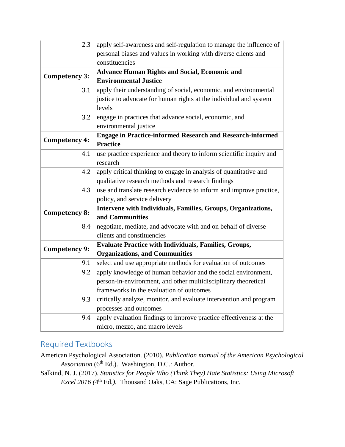| 2.3                  | apply self-awareness and self-regulation to manage the influence of<br>personal biases and values in working with diverse clients and |  |  |  |  |  |
|----------------------|---------------------------------------------------------------------------------------------------------------------------------------|--|--|--|--|--|
|                      | constituencies                                                                                                                        |  |  |  |  |  |
|                      | <b>Advance Human Rights and Social, Economic and</b>                                                                                  |  |  |  |  |  |
| Competency 3:        | <b>Environmental Justice</b>                                                                                                          |  |  |  |  |  |
| 3.1                  | apply their understanding of social, economic, and environmental                                                                      |  |  |  |  |  |
|                      | justice to advocate for human rights at the individual and system                                                                     |  |  |  |  |  |
|                      | levels                                                                                                                                |  |  |  |  |  |
| 3.2                  | engage in practices that advance social, economic, and                                                                                |  |  |  |  |  |
|                      | environmental justice                                                                                                                 |  |  |  |  |  |
| Competency 4:        | <b>Engage in Practice-informed Research and Research-informed</b>                                                                     |  |  |  |  |  |
|                      | <b>Practice</b>                                                                                                                       |  |  |  |  |  |
| 4.1                  | use practice experience and theory to inform scientific inquiry and                                                                   |  |  |  |  |  |
|                      | research                                                                                                                              |  |  |  |  |  |
| 4.2                  | apply critical thinking to engage in analysis of quantitative and                                                                     |  |  |  |  |  |
|                      | qualitative research methods and research findings                                                                                    |  |  |  |  |  |
| 4.3                  | use and translate research evidence to inform and improve practice,                                                                   |  |  |  |  |  |
|                      | policy, and service delivery                                                                                                          |  |  |  |  |  |
| Competency 8:        | Intervene with Individuals, Families, Groups, Organizations,                                                                          |  |  |  |  |  |
|                      | and Communities                                                                                                                       |  |  |  |  |  |
| 8.4                  | negotiate, mediate, and advocate with and on behalf of diverse                                                                        |  |  |  |  |  |
|                      | clients and constituencies                                                                                                            |  |  |  |  |  |
| <b>Competency 9:</b> | <b>Evaluate Practice with Individuals, Families, Groups,</b>                                                                          |  |  |  |  |  |
|                      | <b>Organizations, and Communities</b>                                                                                                 |  |  |  |  |  |
| 9.1                  | select and use appropriate methods for evaluation of outcomes                                                                         |  |  |  |  |  |
| 9.2                  | apply knowledge of human behavior and the social environment,                                                                         |  |  |  |  |  |
|                      | person-in-environment, and other multidisciplinary theoretical                                                                        |  |  |  |  |  |
|                      | frameworks in the evaluation of outcomes                                                                                              |  |  |  |  |  |
| 9.3                  | critically analyze, monitor, and evaluate intervention and program                                                                    |  |  |  |  |  |
|                      | processes and outcomes                                                                                                                |  |  |  |  |  |
| 9.4                  | apply evaluation findings to improve practice effectiveness at the                                                                    |  |  |  |  |  |
|                      | micro, mezzo, and macro levels                                                                                                        |  |  |  |  |  |

# Required Textbooks

- American Psychological Association. (2010). *Publication manual of the American Psychological*  Association (6<sup>th</sup> Ed.). Washington, D.C.: Author.
- Salkind, N. J. (2017). *Statistics for People Who (Think They) Hate Statistics: Using Microsoft*  Excel 2016 (4<sup>th</sup> Ed.). Thousand Oaks, CA: Sage Publications, Inc.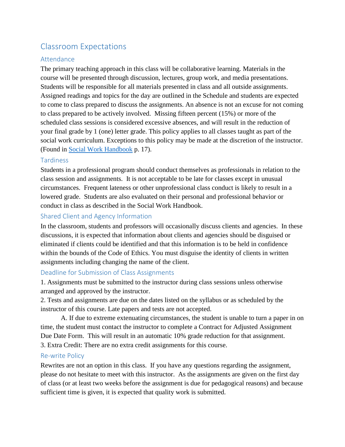# Classroom Expectations

### Attendance

The primary teaching approach in this class will be collaborative learning. Materials in the course will be presented through discussion, lectures, group work, and media presentations. Students will be responsible for all materials presented in class and all outside assignments. Assigned readings and topics for the day are outlined in the Schedule and students are expected to come to class prepared to discuss the assignments. An absence is not an excuse for not coming to class prepared to be actively involved. Missing fifteen percent (15%) or more of the scheduled class sessions is considered excessive absences, and will result in the reduction of your final grade by 1 (one) letter grade. This policy applies to all classes taught as part of the social work curriculum. Exceptions to this policy may be made at the discretion of the instructor. (Found in [Social Work Handbook](http://www.lcsc.edu/media/5056910/SOCIAL-WORK-STUDENT-HANDBOOK-6-5-2017.pdf) p. 17).

#### **Tardiness**

Students in a professional program should conduct themselves as professionals in relation to the class session and assignments. It is not acceptable to be late for classes except in unusual circumstances. Frequent lateness or other unprofessional class conduct is likely to result in a lowered grade. Students are also evaluated on their personal and professional behavior or conduct in class as described in the Social Work Handbook.

### Shared Client and Agency Information

In the classroom, students and professors will occasionally discuss clients and agencies. In these discussions, it is expected that information about clients and agencies should be disguised or eliminated if clients could be identified and that this information is to be held in confidence within the bounds of the Code of Ethics. You must disguise the identity of clients in written assignments including changing the name of the client.

#### Deadline for Submission of Class Assignments

1. Assignments must be submitted to the instructor during class sessions unless otherwise arranged and approved by the instructor.

2. Tests and assignments are due on the dates listed on the syllabus or as scheduled by the instructor of this course. Late papers and tests are not accepted.

 A. If due to extreme extenuating circumstances, the student is unable to turn a paper in on time, the student must contact the instructor to complete a Contract for Adjusted Assignment Due Date Form. This will result in an automatic 10% grade reduction for that assignment. 3. Extra Credit: There are no extra credit assignments for this course.

#### Re-write Policy

Rewrites are not an option in this class. If you have any questions regarding the assignment, please do not hesitate to meet with this instructor. As the assignments are given on the first day of class (or at least two weeks before the assignment is due for pedagogical reasons) and because sufficient time is given, it is expected that quality work is submitted.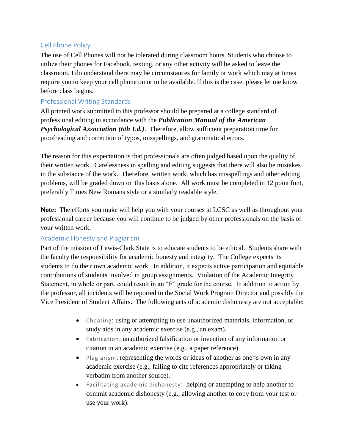#### Cell Phone Policy

The use of Cell Phones will not be tolerated during classroom hours. Students who choose to utilize their phones for Facebook, texting, or any other activity will be asked to leave the classroom. I do understand there may be circumstances for family or work which may at times require you to keep your cell phone on or to be available. If this is the case, please let me know before class begins.

### Professional Writing Standards

All printed work submitted to this professor should be prepared at a college standard of professional editing in accordance with the *Publication Manual of the American Psychological Association (6th Ed.)*. Therefore, allow sufficient preparation time for proofreading and correction of typos, misspellings, and grammatical errors.

The reason for this expectation is that professionals are often judged based upon the quality of their written work. Carelessness in spelling and editing suggests that there will also be mistakes in the substance of the work. Therefore, written work, which has misspellings and other editing problems, will be graded down on this basis alone. All work must be completed in 12 point font, preferably Times New Romans style or a similarly readable style.

**Note:** The efforts you make will help you with your courses at LCSC as well as throughout your professional career because you will continue to be judged by other professionals on the basis of your written work.

### Academic Honesty and Plagiarism

Part of the mission of Lewis-Clark State is to educate students to be ethical. Students share with the faculty the responsibility for academic honesty and integrity. The College expects its students to do their own academic work. In addition, it expects active participation and equitable contributions of students involved in group assignments. Violation of the Academic Integrity Statement, in whole or part, could result in an "F" grade for the course. In addition to action by the professor, all incidents will be reported to the Social Work Program Director and possibly the Vice President of Student Affairs. The following acts of academic dishonesty are not acceptable:

- Cheating: using or attempting to use unauthorized materials, information, or study aids in any academic exercise (e.g., an exam).
- Fabrication: unauthorized falsification or invention of any information or citation in an academic exercise (e.g., a paper reference).
- Plagiarism: representing the words or ideas of another as one = sown in any academic exercise (e.g., failing to cite references appropriately or taking verbatim from another source).
- Facilitating academic dishonesty: helping or attempting to help another to commit academic dishonesty (e.g., allowing another to copy from your test or use your work).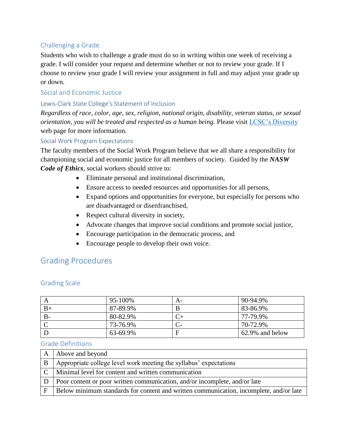### Challenging a Grade

Students who wish to challenge a grade must do so in writing within one week of receiving a grade. I will consider your request and determine whether or not to review your grade. If I choose to review your grade I will review your assignment in full and may adjust your grade up or down.

#### Social and Economic Justice

#### Lewis-Clark State College's Statement of Inclusion

*Regardless of race, color, age, sex, religion, national origin, disability, veteran status, or sexual orientation, you will be treated and respected as a human being.* Please visit [LCSC's Diversity](http://www.lcsc.edu/diversity/) web page for more information.

#### Social Work Program Expectations

The faculty members of the Social Work Program believe that we all share a responsibility for championing social and economic justice for all members of society. Guided by the *NASW Code of Ethics*, social workers should strive to:

- Eliminate personal and institutional discrimination,
- Ensure access to needed resources and opportunities for all persons,
- Expand options and opportunities for everyone, but especially for persons who are disadvantaged or disenfranchised,
- Respect cultural diversity in society,
- Advocate changes that improve social conditions and promote social justice,
- Encourage participation in the democratic process, and
- Encourage people to develop their own voice.

## Grading Procedures

|      | 95-100%  | A- | 90-94.9%        |
|------|----------|----|-----------------|
| $B+$ | 87-89.9% |    | 83-86.9%        |
| $B-$ | 80-82.9% |    | 77-79.9%        |
|      | 73-76.9% |    | 70-72.9%        |
|      | 63-69.9% | E  | 62.9% and below |

#### Grading Scale

#### Grade Definitions

|              | A Above and beyond                                                                     |
|--------------|----------------------------------------------------------------------------------------|
| <sup>B</sup> | Appropriate college level work meeting the syllabus' expectations                      |
|              | C   Minimal level for content and written communication                                |
| D            | Poor content or poor written communication, and/or incomplete, and/or late             |
| F            | Below minimum standards for content and written communication, incomplete, and/or late |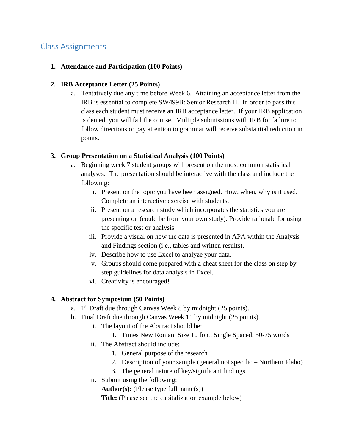# Class Assignments

#### **1. Attendance and Participation (100 Points)**

#### **2. IRB Acceptance Letter (25 Points)**

a. Tentatively due any time before Week 6. Attaining an acceptance letter from the IRB is essential to complete SW499B: Senior Research II. In order to pass this class each student must receive an IRB acceptance letter. If your IRB application is denied, you will fail the course. Multiple submissions with IRB for failure to follow directions or pay attention to grammar will receive substantial reduction in points.

#### **3. Group Presentation on a Statistical Analysis (100 Points)**

- a. Beginning week 7 student groups will present on the most common statistical analyses. The presentation should be interactive with the class and include the following:
	- i. Present on the topic you have been assigned. How, when, why is it used. Complete an interactive exercise with students.
	- ii. Present on a research study which incorporates the statistics you are presenting on (could be from your own study). Provide rationale for using the specific test or analysis.
	- iii. Provide a visual on how the data is presented in APA within the Analysis and Findings section (i.e., tables and written results).
	- iv. Describe how to use Excel to analyze your data.
	- v. Groups should come prepared with a cheat sheet for the class on step by step guidelines for data analysis in Excel.
	- vi. Creativity is encouraged!

#### **4. Abstract for Symposium (50 Points)**

- a. 1<sup>st</sup> Draft due through Canvas Week 8 by midnight (25 points).
- b. Final Draft due through Canvas Week 11 by midnight (25 points).
	- i. The layout of the Abstract should be:
		- 1. Times New Roman, Size 10 font, Single Spaced, 50-75 words
	- ii. The Abstract should include:
		- 1. General purpose of the research
		- 2. Description of your sample (general not specific Northern Idaho)
		- 3. The general nature of key/significant findings
	- iii. Submit using the following:

**Author(s):** (Please type full name(s))

**Title:** (Please see the capitalization example below)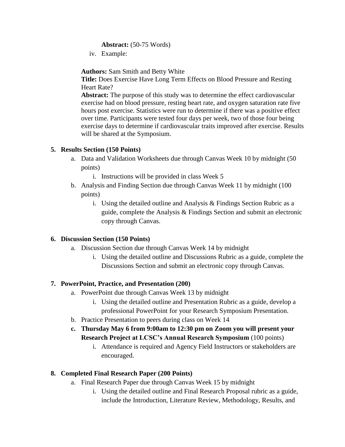#### **Abstract:** (50-75 Words)

iv. Example:

**Authors:** Sam Smith and Betty White

**Title:** Does Exercise Have Long Term Effects on Blood Pressure and Resting Heart Rate?

**Abstract:** The purpose of this study was to determine the effect cardiovascular exercise had on blood pressure, resting heart rate, and oxygen saturation rate five hours post exercise. Statistics were run to determine if there was a positive effect over time. Participants were tested four days per week, two of those four being exercise days to determine if cardiovascular traits improved after exercise. Results will be shared at the Symposium.

### **5. Results Section (150 Points)**

a. Data and Validation Worksheets due through Canvas Week 10 by midnight (50 points)

i. Instructions will be provided in class Week 5

- b. Analysis and Finding Section due through Canvas Week 11 by midnight (100 points)
	- i. Using the detailed outline and Analysis & Findings Section Rubric as a guide, complete the Analysis & Findings Section and submit an electronic copy through Canvas.

### **6. Discussion Section (150 Points)**

- a. Discussion Section due through Canvas Week 14 by midnight
	- i. Using the detailed outline and Discussions Rubric as a guide, complete the Discussions Section and submit an electronic copy through Canvas.

### **7. PowerPoint, Practice, and Presentation (200)**

- a. PowerPoint due through Canvas Week 13 by midnight
	- i. Using the detailed outline and Presentation Rubric as a guide, develop a professional PowerPoint for your Research Symposium Presentation.
- b. Practice Presentation to peers during class on Week 14
- **c. Thursday May 6 from 9:00am to 12:30 pm on Zoom you will present your Research Project at LCSC's Annual Research Symposium** (100 points)
	- i. Attendance is required and Agency Field Instructors or stakeholders are encouraged.

### **8. Completed Final Research Paper (200 Points)**

- a. Final Research Paper due through Canvas Week 15 by midnight
	- i. Using the detailed outline and Final Research Proposal rubric as a guide, include the Introduction, Literature Review, Methodology, Results, and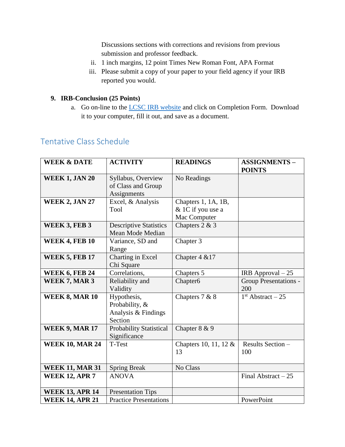Discussions sections with corrections and revisions from previous submission and professor feedback.

- ii. 1 inch margins, 12 point Times New Roman Font, APA Format
- iii. Please submit a copy of your paper to your field agency if your IRB reported you would.

### **9. IRB-Conclusion (25 Points)**

a. Go on-line to the **LCSC IRB** website and click on Completion Form. Download it to your computer, fill it out, and save as a document.

# Tentative Class Schedule

| <b>WEEK &amp; DATE</b> | <b>ACTIVITY</b>                                                 | <b>READINGS</b>                                          | <b>ASSIGNMENTS-</b><br><b>POINTS</b> |
|------------------------|-----------------------------------------------------------------|----------------------------------------------------------|--------------------------------------|
| <b>WEEK 1, JAN 20</b>  | Syllabus, Overview<br>of Class and Group<br>Assignments         | No Readings                                              |                                      |
| <b>WEEK 2, JAN 27</b>  | Excel, & Analysis<br>Tool                                       | Chapters 1, 1A, 1B,<br>& 1C if you use a<br>Mac Computer |                                      |
| <b>WEEK 3, FEB 3</b>   | <b>Descriptive Statistics</b><br>Mean Mode Median               | Chapters $2 & 3$                                         |                                      |
| <b>WEEK 4, FEB 10</b>  | Variance, SD and<br>Range                                       | Chapter 3                                                |                                      |
| <b>WEEK 5, FEB 17</b>  | Charting in Excel<br>Chi Square                                 | Chapter 4 & 17                                           |                                      |
| <b>WEEK 6, FEB 24</b>  | Correlations,                                                   | Chapters 5                                               | IRB Approval $-25$                   |
| WEEK 7, MAR 3          | Reliability and<br>Validity                                     | Chapter <sub>6</sub>                                     | <b>Group Presentations -</b><br>200  |
| <b>WEEK 8, MAR 10</b>  | Hypothesis,<br>Probability, &<br>Analysis & Findings<br>Section | Chapters 7 & 8                                           | $1st$ Abstract – 25                  |
| <b>WEEK 9, MAR 17</b>  | <b>Probability Statistical</b><br>Significance                  | Chapter 8 & 9                                            |                                      |
| <b>WEEK 10, MAR 24</b> | T-Test                                                          | Chapters 10, 11, 12 &<br>13                              | Results Section -<br>100             |
| <b>WEEK 11, MAR 31</b> | <b>Spring Break</b>                                             | No Class                                                 |                                      |
| <b>WEEK 12, APR 7</b>  | <b>ANOVA</b>                                                    |                                                          | Final Abstract $-25$                 |
| <b>WEEK 13, APR 14</b> | <b>Presentation Tips</b>                                        |                                                          |                                      |
| <b>WEEK 14, APR 21</b> | <b>Practice Presentations</b>                                   |                                                          | PowerPoint                           |